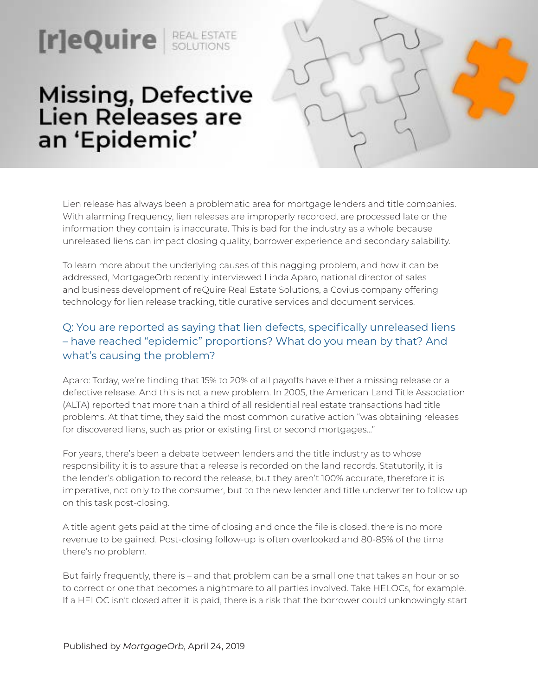# Missing, Defective<br>Lien Releases are an 'Epidemic'

**real ESTATE** 



Lien release has always been a problematic area for mortgage lenders and title companies. With alarming frequency, lien releases are improperly recorded, are processed late or the information they contain is inaccurate. This is bad for the industry as a whole because unreleased liens can impact closing quality, borrower experience and secondary salability.

To learn more about the underlying causes of this nagging problem, and how it can be addressed, MortgageOrb recently interviewed Linda Aparo, national director of sales and business development of reQuire Real Estate Solutions, a Covius company offering technology for lien release tracking, title curative services and document services.

## Q: You are reported as saying that lien defects, specifically unreleased liens – have reached "epidemic" proportions? What do you mean by that? And what's causing the problem?

Aparo: Today, we're finding that 15% to 20% of all payoffs have either a missing release or a defective release. And this is not a new problem. In 2005, the American Land Title Association (ALTA) reported that more than a third of all residential real estate transactions had title problems. At that time, they said the most common curative action "was obtaining releases for discovered liens, such as prior or existing first or second mortgages…"

For years, there's been a debate between lenders and the title industry as to whose responsibility it is to assure that a release is recorded on the land records. Statutorily, it is the lender's obligation to record the release, but they aren't 100% accurate, therefore it is imperative, not only to the consumer, but to the new lender and title underwriter to follow up on this task post-closing.

A title agent gets paid at the time of closing and once the file is closed, there is no more revenue to be gained. Post-closing follow-up is often overlooked and 80-85% of the time there's no problem.

But fairly frequently, there is – and that problem can be a small one that takes an hour or so to correct or one that becomes a nightmare to all parties involved. Take HELOCs, for example. If a HELOC isn't closed after it is paid, there is a risk that the borrower could unknowingly start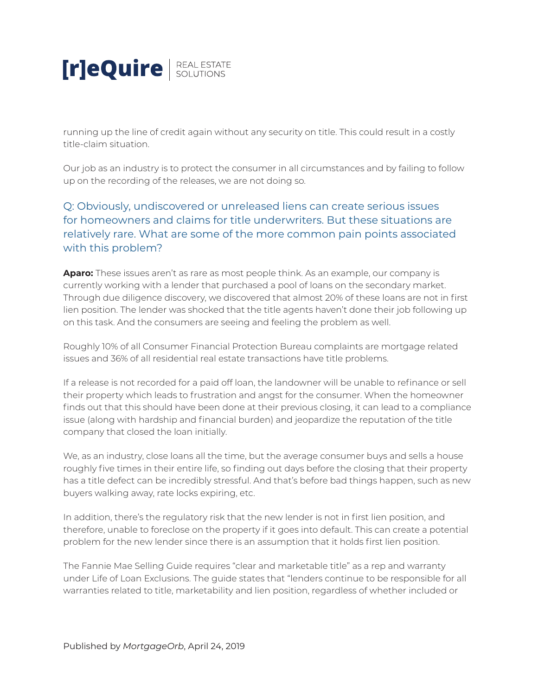

running up the line of credit again without any security on title. This could result in a costly title-claim situation.

Our job as an industry is to protect the consumer in all circumstances and by failing to follow up on the recording of the releases, we are not doing so.

## Q: Obviously, undiscovered or unreleased liens can create serious issues for homeowners and claims for title underwriters. But these situations are relatively rare. What are some of the more common pain points associated with this problem?

**Aparo:** These issues aren't as rare as most people think. As an example, our company is currently working with a lender that purchased a pool of loans on the secondary market. Through due diligence discovery, we discovered that almost 20% of these loans are not in first lien position. The lender was shocked that the title agents haven't done their job following up on this task. And the consumers are seeing and feeling the problem as well.

Roughly 10% of all Consumer Financial Protection Bureau complaints are mortgage related issues and 36% of all residential real estate transactions have title problems.

If a release is not recorded for a paid off loan, the landowner will be unable to refinance or sell their property which leads to frustration and angst for the consumer. When the homeowner finds out that this should have been done at their previous closing, it can lead to a compliance issue (along with hardship and financial burden) and jeopardize the reputation of the title company that closed the loan initially.

We, as an industry, close loans all the time, but the average consumer buys and sells a house roughly five times in their entire life, so finding out days before the closing that their property has a title defect can be incredibly stressful. And that's before bad things happen, such as new buyers walking away, rate locks expiring, etc.

In addition, there's the regulatory risk that the new lender is not in first lien position, and therefore, unable to foreclose on the property if it goes into default. This can create a potential problem for the new lender since there is an assumption that it holds first lien position.

The Fannie Mae Selling Guide requires "clear and marketable title" as a rep and warranty under Life of Loan Exclusions. The guide states that "lenders continue to be responsible for all warranties related to title, marketability and lien position, regardless of whether included or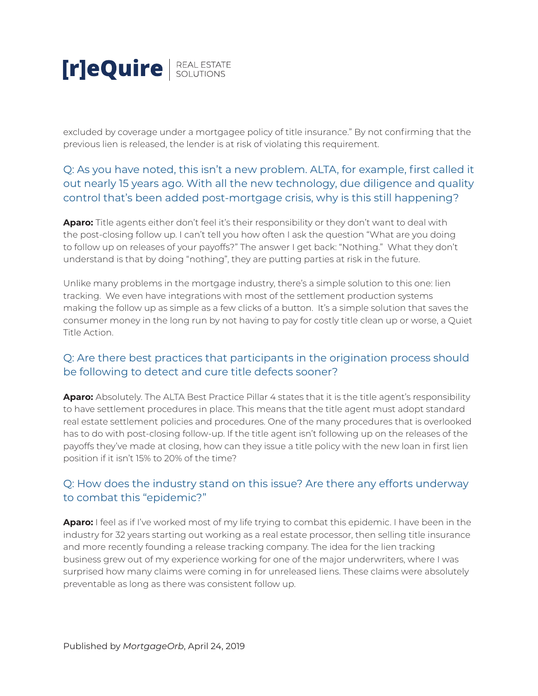

excluded by coverage under a mortgagee policy of title insurance." By not confirming that the previous lien is released, the lender is at risk of violating this requirement.

## Q: As you have noted, this isn't a new problem. ALTA, for example, first called it out nearly 15 years ago. With all the new technology, due diligence and quality control that's been added post-mortgage crisis, why is this still happening?

**Aparo:** Title agents either don't feel it's their responsibility or they don't want to deal with the post-closing follow up. I can't tell you how often I ask the question "What are you doing to follow up on releases of your payoffs?" The answer I get back: "Nothing." What they don't understand is that by doing "nothing", they are putting parties at risk in the future.

Unlike many problems in the mortgage industry, there's a simple solution to this one: lien tracking. We even have integrations with most of the settlement production systems making the follow up as simple as a few clicks of a button. It's a simple solution that saves the consumer money in the long run by not having to pay for costly title clean up or worse, a Quiet Title Action.

#### Q: Are there best practices that participants in the origination process should be following to detect and cure title defects sooner?

**Aparo:** Absolutely. The ALTA Best Practice Pillar 4 states that it is the title agent's responsibility to have settlement procedures in place. This means that the title agent must adopt standard real estate settlement policies and procedures. One of the many procedures that is overlooked has to do with post-closing follow-up. If the title agent isn't following up on the releases of the payoffs they've made at closing, how can they issue a title policy with the new loan in first lien position if it isn't 15% to 20% of the time?

#### Q: How does the industry stand on this issue? Are there any efforts underway to combat this "epidemic?"

**Aparo:** I feel as if I've worked most of my life trying to combat this epidemic. I have been in the industry for 32 years starting out working as a real estate processor, then selling title insurance and more recently founding a release tracking company. The idea for the lien tracking business grew out of my experience working for one of the major underwriters, where I was surprised how many claims were coming in for unreleased liens. These claims were absolutely preventable as long as there was consistent follow up.